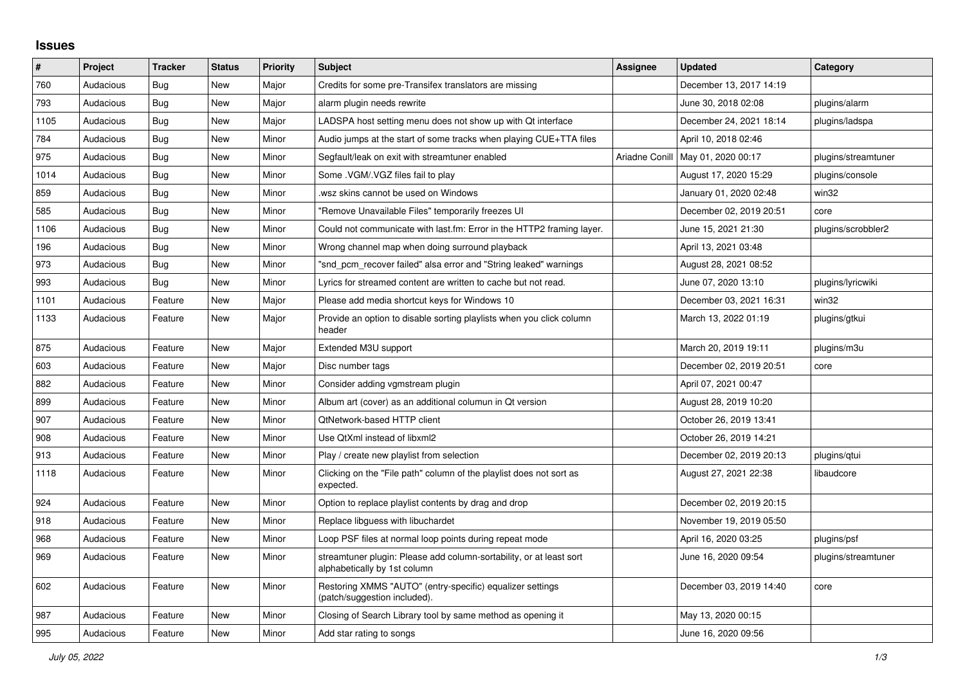## **Issues**

| ∦    | Project   | <b>Tracker</b> | <b>Status</b> | <b>Priority</b> | <b>Subject</b>                                                                                      | Assignee       | <b>Updated</b>          | Category            |
|------|-----------|----------------|---------------|-----------------|-----------------------------------------------------------------------------------------------------|----------------|-------------------------|---------------------|
| 760  | Audacious | <b>Bug</b>     | <b>New</b>    | Major           | Credits for some pre-Transifex translators are missing                                              |                | December 13, 2017 14:19 |                     |
| 793  | Audacious | Bug            | New           | Major           | alarm plugin needs rewrite                                                                          |                | June 30, 2018 02:08     | plugins/alarm       |
| 1105 | Audacious | Bug            | <b>New</b>    | Major           | LADSPA host setting menu does not show up with Qt interface                                         |                | December 24, 2021 18:14 | plugins/ladspa      |
| 784  | Audacious | <b>Bug</b>     | <b>New</b>    | Minor           | Audio jumps at the start of some tracks when playing CUE+TTA files                                  |                | April 10, 2018 02:46    |                     |
| 975  | Audacious | <b>Bug</b>     | <b>New</b>    | Minor           | Segfault/leak on exit with streamtuner enabled                                                      | Ariadne Conill | May 01, 2020 00:17      | plugins/streamtuner |
| 1014 | Audacious | <b>Bug</b>     | <b>New</b>    | Minor           | Some .VGM/.VGZ files fail to play                                                                   |                | August 17, 2020 15:29   | plugins/console     |
| 859  | Audacious | Bug            | New           | Minor           | wsz skins cannot be used on Windows.                                                                |                | January 01, 2020 02:48  | win32               |
| 585  | Audacious | Bug            | <b>New</b>    | Minor           | "Remove Unavailable Files" temporarily freezes UI                                                   |                | December 02, 2019 20:51 | core                |
| 1106 | Audacious | Bug            | <b>New</b>    | Minor           | Could not communicate with last.fm: Error in the HTTP2 framing layer.                               |                | June 15, 2021 21:30     | plugins/scrobbler2  |
| 196  | Audacious | <b>Bug</b>     | <b>New</b>    | Minor           | Wrong channel map when doing surround playback                                                      |                | April 13, 2021 03:48    |                     |
| 973  | Audacious | Bug            | <b>New</b>    | Minor           | "snd pcm recover failed" alsa error and "String leaked" warnings                                    |                | August 28, 2021 08:52   |                     |
| 993  | Audacious | Bug            | <b>New</b>    | Minor           | Lyrics for streamed content are written to cache but not read.                                      |                | June 07, 2020 13:10     | plugins/lyricwiki   |
| 1101 | Audacious | Feature        | New           | Major           | Please add media shortcut keys for Windows 10                                                       |                | December 03, 2021 16:31 | win32               |
| 1133 | Audacious | Feature        | New           | Major           | Provide an option to disable sorting playlists when you click column<br>header                      |                | March 13, 2022 01:19    | plugins/gtkui       |
| 875  | Audacious | Feature        | New           | Major           | Extended M3U support                                                                                |                | March 20, 2019 19:11    | plugins/m3u         |
| 603  | Audacious | Feature        | <b>New</b>    | Major           | Disc number tags                                                                                    |                | December 02, 2019 20:51 | core                |
| 882  | Audacious | Feature        | <b>New</b>    | Minor           | Consider adding vgmstream plugin                                                                    |                | April 07, 2021 00:47    |                     |
| 899  | Audacious | Feature        | <b>New</b>    | Minor           | Album art (cover) as an additional columun in Qt version                                            |                | August 28, 2019 10:20   |                     |
| 907  | Audacious | Feature        | New           | Minor           | <b>QtNetwork-based HTTP client</b>                                                                  |                | October 26, 2019 13:41  |                     |
| 908  | Audacious | Feature        | <b>New</b>    | Minor           | Use QtXml instead of libxml2                                                                        |                | October 26, 2019 14:21  |                     |
| 913  | Audacious | Feature        | New           | Minor           | Play / create new playlist from selection                                                           |                | December 02, 2019 20:13 | plugins/gtui        |
| 1118 | Audacious | Feature        | <b>New</b>    | Minor           | Clicking on the "File path" column of the playlist does not sort as<br>expected.                    |                | August 27, 2021 22:38   | libaudcore          |
| 924  | Audacious | Feature        | <b>New</b>    | Minor           | Option to replace playlist contents by drag and drop                                                |                | December 02, 2019 20:15 |                     |
| 918  | Audacious | Feature        | <b>New</b>    | Minor           | Replace libguess with libuchardet                                                                   |                | November 19, 2019 05:50 |                     |
| 968  | Audacious | Feature        | <b>New</b>    | Minor           | Loop PSF files at normal loop points during repeat mode                                             |                | April 16, 2020 03:25    | plugins/psf         |
| 969  | Audacious | Feature        | New           | Minor           | streamtuner plugin: Please add column-sortability, or at least sort<br>alphabetically by 1st column |                | June 16, 2020 09:54     | plugins/streamtuner |
| 602  | Audacious | Feature        | <b>New</b>    | Minor           | Restoring XMMS "AUTO" (entry-specific) equalizer settings<br>(patch/suggestion included).           |                | December 03, 2019 14:40 | core                |
| 987  | Audacious | Feature        | <b>New</b>    | Minor           | Closing of Search Library tool by same method as opening it                                         |                | May 13, 2020 00:15      |                     |
| 995  | Audacious | Feature        | New           | Minor           | Add star rating to songs                                                                            |                | June 16, 2020 09:56     |                     |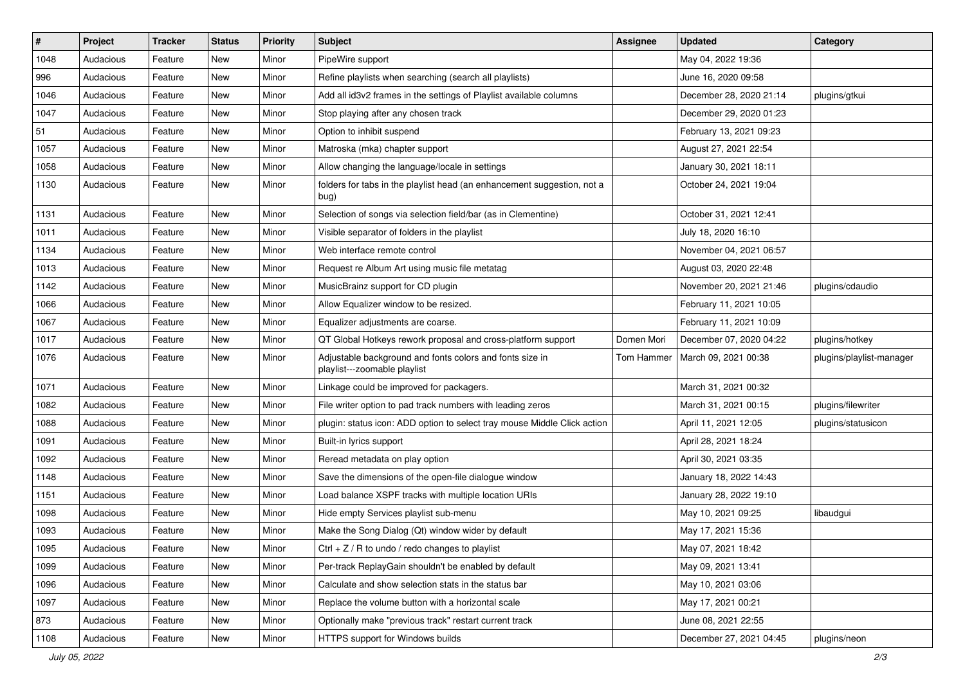| $\vert$ # | Project   | <b>Tracker</b> | <b>Status</b> | <b>Priority</b> | <b>Subject</b>                                                                           | <b>Assignee</b>   | <b>Updated</b>          | Category                 |
|-----------|-----------|----------------|---------------|-----------------|------------------------------------------------------------------------------------------|-------------------|-------------------------|--------------------------|
| 1048      | Audacious | Feature        | New           | Minor           | PipeWire support                                                                         |                   | May 04, 2022 19:36      |                          |
| 996       | Audacious | Feature        | <b>New</b>    | Minor           | Refine playlists when searching (search all playlists)                                   |                   | June 16, 2020 09:58     |                          |
| 1046      | Audacious | Feature        | New           | Minor           | Add all id3v2 frames in the settings of Playlist available columns                       |                   | December 28, 2020 21:14 | plugins/gtkui            |
| 1047      | Audacious | Feature        | New           | Minor           | Stop playing after any chosen track                                                      |                   | December 29, 2020 01:23 |                          |
| 51        | Audacious | Feature        | New           | Minor           | Option to inhibit suspend                                                                |                   | February 13, 2021 09:23 |                          |
| 1057      | Audacious | Feature        | New           | Minor           | Matroska (mka) chapter support                                                           |                   | August 27, 2021 22:54   |                          |
| 1058      | Audacious | Feature        | <b>New</b>    | Minor           | Allow changing the language/locale in settings                                           |                   | January 30, 2021 18:11  |                          |
| 1130      | Audacious | Feature        | New           | Minor           | folders for tabs in the playlist head (an enhancement suggestion, not a<br>bug)          |                   | October 24, 2021 19:04  |                          |
| 1131      | Audacious | Feature        | <b>New</b>    | Minor           | Selection of songs via selection field/bar (as in Clementine)                            |                   | October 31, 2021 12:41  |                          |
| 1011      | Audacious | Feature        | New           | Minor           | Visible separator of folders in the playlist                                             |                   | July 18, 2020 16:10     |                          |
| 1134      | Audacious | Feature        | New           | Minor           | Web interface remote control                                                             |                   | November 04, 2021 06:57 |                          |
| 1013      | Audacious | Feature        | New           | Minor           | Request re Album Art using music file metatag                                            |                   | August 03, 2020 22:48   |                          |
| 1142      | Audacious | Feature        | New           | Minor           | MusicBrainz support for CD plugin                                                        |                   | November 20, 2021 21:46 | plugins/cdaudio          |
| 1066      | Audacious | Feature        | <b>New</b>    | Minor           | Allow Equalizer window to be resized.                                                    |                   | February 11, 2021 10:05 |                          |
| 1067      | Audacious | Feature        | New           | Minor           | Equalizer adjustments are coarse.                                                        |                   | February 11, 2021 10:09 |                          |
| 1017      | Audacious | Feature        | New           | Minor           | QT Global Hotkeys rework proposal and cross-platform support                             | Domen Mori        | December 07, 2020 04:22 | plugins/hotkey           |
| 1076      | Audacious | Feature        | New           | Minor           | Adjustable background and fonts colors and fonts size in<br>playlist---zoomable playlist | <b>Tom Hammer</b> | March 09, 2021 00:38    | plugins/playlist-manager |
| 1071      | Audacious | Feature        | <b>New</b>    | Minor           | Linkage could be improved for packagers.                                                 |                   | March 31, 2021 00:32    |                          |
| 1082      | Audacious | Feature        | New           | Minor           | File writer option to pad track numbers with leading zeros                               |                   | March 31, 2021 00:15    | plugins/filewriter       |
| 1088      | Audacious | Feature        | New           | Minor           | plugin: status icon: ADD option to select tray mouse Middle Click action                 |                   | April 11, 2021 12:05    | plugins/statusicon       |
| 1091      | Audacious | Feature        | New           | Minor           | Built-in lyrics support                                                                  |                   | April 28, 2021 18:24    |                          |
| 1092      | Audacious | Feature        | New           | Minor           | Reread metadata on play option                                                           |                   | April 30, 2021 03:35    |                          |
| 1148      | Audacious | Feature        | New           | Minor           | Save the dimensions of the open-file dialogue window                                     |                   | January 18, 2022 14:43  |                          |
| 1151      | Audacious | Feature        | New           | Minor           | Load balance XSPF tracks with multiple location URIs                                     |                   | January 28, 2022 19:10  |                          |
| 1098      | Audacious | Feature        | New           | Minor           | Hide empty Services playlist sub-menu                                                    |                   | May 10, 2021 09:25      | libaudgui                |
| 1093      | Audacious | Feature        | <b>New</b>    | Minor           | Make the Song Dialog (Qt) window wider by default                                        |                   | May 17, 2021 15:36      |                          |
| 1095      | Audacious | Feature        | New           | Minor           | Ctrl $+$ Z / R to undo / redo changes to playlist                                        |                   | May 07, 2021 18:42      |                          |
| 1099      | Audacious | Feature        | New           | Minor           | Per-track ReplayGain shouldn't be enabled by default                                     |                   | May 09, 2021 13:41      |                          |
| 1096      | Audacious | Feature        | New           | Minor           | Calculate and show selection stats in the status bar                                     |                   | May 10, 2021 03:06      |                          |
| 1097      | Audacious | Feature        | New           | Minor           | Replace the volume button with a horizontal scale                                        |                   | May 17, 2021 00:21      |                          |
| 873       | Audacious | Feature        | New           | Minor           | Optionally make "previous track" restart current track                                   |                   | June 08, 2021 22:55     |                          |
| 1108      | Audacious | Feature        | New           | Minor           | HTTPS support for Windows builds                                                         |                   | December 27, 2021 04:45 | plugins/neon             |